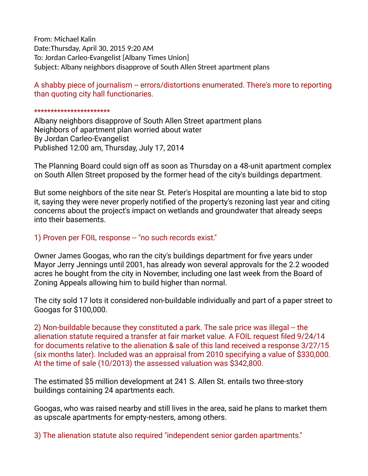From: Michael Kalin Date:Thursday, April 30, 2015 9:20 AM To: Jordan Carleo-Evangelist [Albany Times Union] Subject: Albany neighbors disapprove of South Allen Street apartment plans

A shabby piece of journalism -- errors/distortions enumerated. There's more to reporting than quoting city hall functionaries.

## \*\*\*\*\*\*\*\*\*\*\*\*\*\*\*\*\*\*\*\*\*\*

Albany neighbors disapprove of South Allen Street apartment plans Neighbors of apartment plan worried about water By Jordan Carleo-Evangelist Published 12:00 am, Thursday, July 17, 2014

The Planning Board could sign off as soon as Thursday on a 48-unit apartment complex on South Allen Street proposed by the former head of the city's buildings department.

But some neighbors of the site near St. Peter's Hospital are mounting a late bid to stop it, saying they were never properly notifed of the property's rezoning last year and citing concerns about the project's impact on wetlands and groundwater that already seeps into their basements.

## 1) Proven per FOIL response -- "no such records exist."

Owner James Googas, who ran the city's buildings department for fve years under Mayor Jerry Jennings until 2001, has already won several approvals for the 2.2 wooded acres he bought from the city in November, including one last week from the Board of Zoning Appeals allowing him to build higher than normal.

The city sold 17 lots it considered non-buildable individually and part of a paper street to Googas for \$100,000.

2) Non-buildable because they constituted a park. The sale price was illegal -- the alienation statute required a transfer at fair market value. A FOIL request fled 9/24/14 for documents relative to the alienation & sale of this land received a response 3/27/15 (six months later). Included was an appraisal from 2010 specifying a value of \$330,000. At the time of sale (10/2013) the assessed valuation was \$342,800.

The estimated \$5 million development at 241 S. Allen St. entails two three-story buildings containing 24 apartments each.

Googas, who was raised nearby and still lives in the area, said he plans to market them as upscale apartments for empty-nesters, among others.

3) The alienation statute also required "independent senior garden apartments."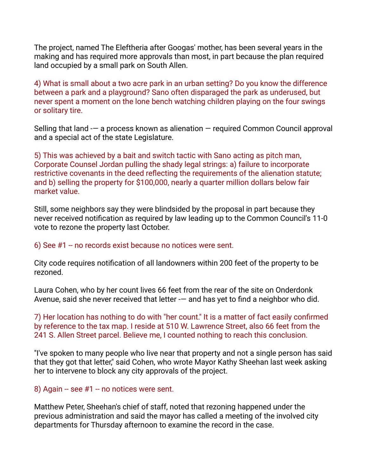The project, named The Eleftheria after Googas' mother, has been several years in the making and has required more approvals than most, in part because the plan required land occupied by a small park on South Allen.

4) What is small about a two acre park in an urban setting? Do you know the difference between a park and a playground? Sano often disparaged the park as underused, but never spent a moment on the lone bench watching children playing on the four swings or solitary tire.

Selling that land -— a process known as alienation — required Common Council approval and a special act of the state Legislature.

5) This was achieved by a bait and switch tactic with Sano acting as pitch man, Corporate Counsel Jordan pulling the shady legal strings: a) failure to incorporate restrictive covenants in the deed reflecting the requirements of the alienation statute; and b) selling the property for \$100,000, nearly a quarter million dollars below fair market value.

Still, some neighbors say they were blindsided by the proposal in part because they never received notifcation as required by law leading up to the Common Council's 11-0 vote to rezone the property last October.

6) See  $#1 -$  no records exist because no notices were sent.

City code requires notifcation of all landowners within 200 feet of the property to be rezoned.

Laura Cohen, who by her count lives 66 feet from the rear of the site on Onderdonk Avenue, said she never received that letter -— and has yet to fnd a neighbor who did.

7) Her location has nothing to do with "her count." It is a matter of fact easily confrmed by reference to the tax map. I reside at 510 W. Lawrence Street, also 66 feet from the 241 S. Allen Street parcel. Believe me, I counted nothing to reach this conclusion.

"I've spoken to many people who live near that property and not a single person has said that they got that letter," said Cohen, who wrote Mayor Kathy Sheehan last week asking her to intervene to block any city approvals of the project.

8) Again  $-$  see  $#1 -$  no notices were sent.

Matthew Peter, Sheehan's chief of staff, noted that rezoning happened under the previous administration and said the mayor has called a meeting of the involved city departments for Thursday afternoon to examine the record in the case.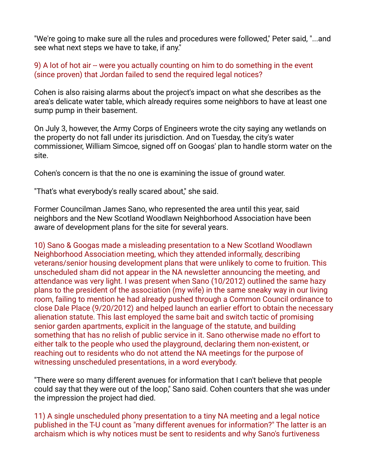"We're going to make sure all the rules and procedures were followed," Peter said, "...and see what next steps we have to take, if any."

## 9) A lot of hot air -- were you actually counting on him to do something in the event (since proven) that Jordan failed to send the required legal notices?

Cohen is also raising alarms about the project's impact on what she describes as the area's delicate water table, which already requires some neighbors to have at least one sump pump in their basement.

On July 3, however, the Army Corps of Engineers wrote the city saying any wetlands on the property do not fall under its jurisdiction. And on Tuesday, the city's water commissioner, William Simcoe, signed off on Googas' plan to handle storm water on the site.

Cohen's concern is that the no one is examining the issue of ground water.

"That's what everybody's really scared about," she said.

Former Councilman James Sano, who represented the area until this year, said neighbors and the New Scotland Woodlawn Neighborhood Association have been aware of development plans for the site for several years.

10) Sano & Googas made a misleading presentation to a New Scotland Woodlawn Neighborhood Association meeting, which they attended informally, describing veterans/senior housing development plans that were unlikely to come to fruition. This unscheduled sham did not appear in the NA newsletter announcing the meeting, and attendance was very light. I was present when Sano (10/2012) outlined the same hazy plans to the president of the association (my wife) in the same sneaky way in our living room, failing to mention he had already pushed through a Common Council ordinance to close Dale Place (9/20/2012) and helped launch an earlier effort to obtain the necessary alienation statute. This last employed the same bait and switch tactic of promising senior garden apartments, explicit in the language of the statute, and building something that has no relish of public service in it. Sano otherwise made no effort to either talk to the people who used the playground, declaring them non-existent, or reaching out to residents who do not attend the NA meetings for the purpose of witnessing unscheduled presentations, in a word everybody.

"There were so many different avenues for information that I can't believe that people could say that they were out of the loop," Sano said. Cohen counters that she was under the impression the project had died.

11) A single unscheduled phony presentation to a tiny NA meeting and a legal notice published in the T-U count as "many different avenues for information?" The latter is an archaism which is why notices must be sent to residents and why Sano's furtiveness